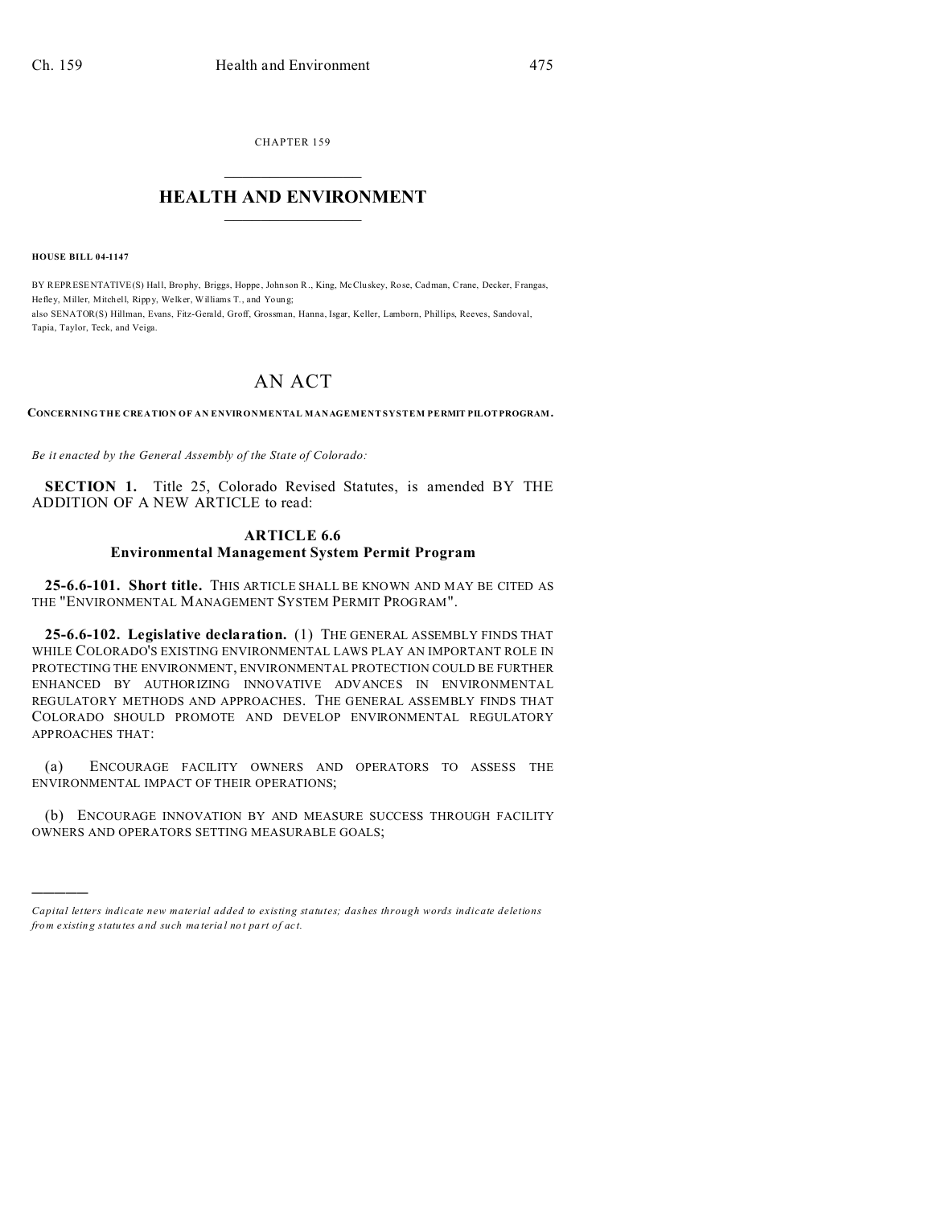CHAPTER 159  $\overline{\phantom{a}}$  , where  $\overline{\phantom{a}}$ 

## **HEALTH AND ENVIRONMENT**  $\_$   $\_$   $\_$   $\_$   $\_$   $\_$   $\_$   $\_$

**HOUSE BILL 04-1147**

)))))

BY REPRESENTATIVE(S) Hall, Brophy, Briggs, Hoppe, John son R., King, McCluskey, Rose, Cadman, Crane, Decker, Frangas, Hefley, Miller, Mitchell, Rippy, Welker, Williams T., and Young; also SENATOR(S) Hillman, Evans, Fitz-Gerald, Groff, Grossman, Hanna, Isgar, Keller, Lamborn, Phillips, Reeves, Sandoval, Tapia, Taylor, Teck, and Veiga.

## AN ACT

**CONCERNING THE CREATION OF AN ENVIRONMENTAL MANAGEMENT SYSTEM PERMIT PILOTPROGRAM.**

*Be it enacted by the General Assembly of the State of Colorado:*

**SECTION 1.** Title 25, Colorado Revised Statutes, is amended BY THE ADDITION OF A NEW ARTICLE to read:

## **ARTICLE 6.6 Environmental Management System Permit Program**

**25-6.6-101. Short title.** THIS ARTICLE SHALL BE KNOWN AND MAY BE CITED AS THE "ENVIRONMENTAL MANAGEMENT SYSTEM PERMIT PROGRAM".

**25-6.6-102. Legislative declaration.** (1) THE GENERAL ASSEMBLY FINDS THAT WHILE COLORADO'S EXISTING ENVIRONMENTAL LAWS PLAY AN IMPORTANT ROLE IN PROTECTING THE ENVIRONMENT, ENVIRONMENTAL PROTECTION COULD BE FURTHER ENHANCED BY AUTHORIZING INNOVATIVE ADVANCES IN ENVIRONMENTAL REGULATORY METHODS AND APPROACHES. THE GENERAL ASSEMBLY FINDS THAT COLORADO SHOULD PROMOTE AND DEVELOP ENVIRONMENTAL REGULATORY APPROACHES THAT:

(a) ENCOURAGE FACILITY OWNERS AND OPERATORS TO ASSESS THE ENVIRONMENTAL IMPACT OF THEIR OPERATIONS;

(b) ENCOURAGE INNOVATION BY AND MEASURE SUCCESS THROUGH FACILITY OWNERS AND OPERATORS SETTING MEASURABLE GOALS;

*Capital letters indicate new material added to existing statutes; dashes through words indicate deletions from e xistin g statu tes a nd such ma teria l no t pa rt of ac t.*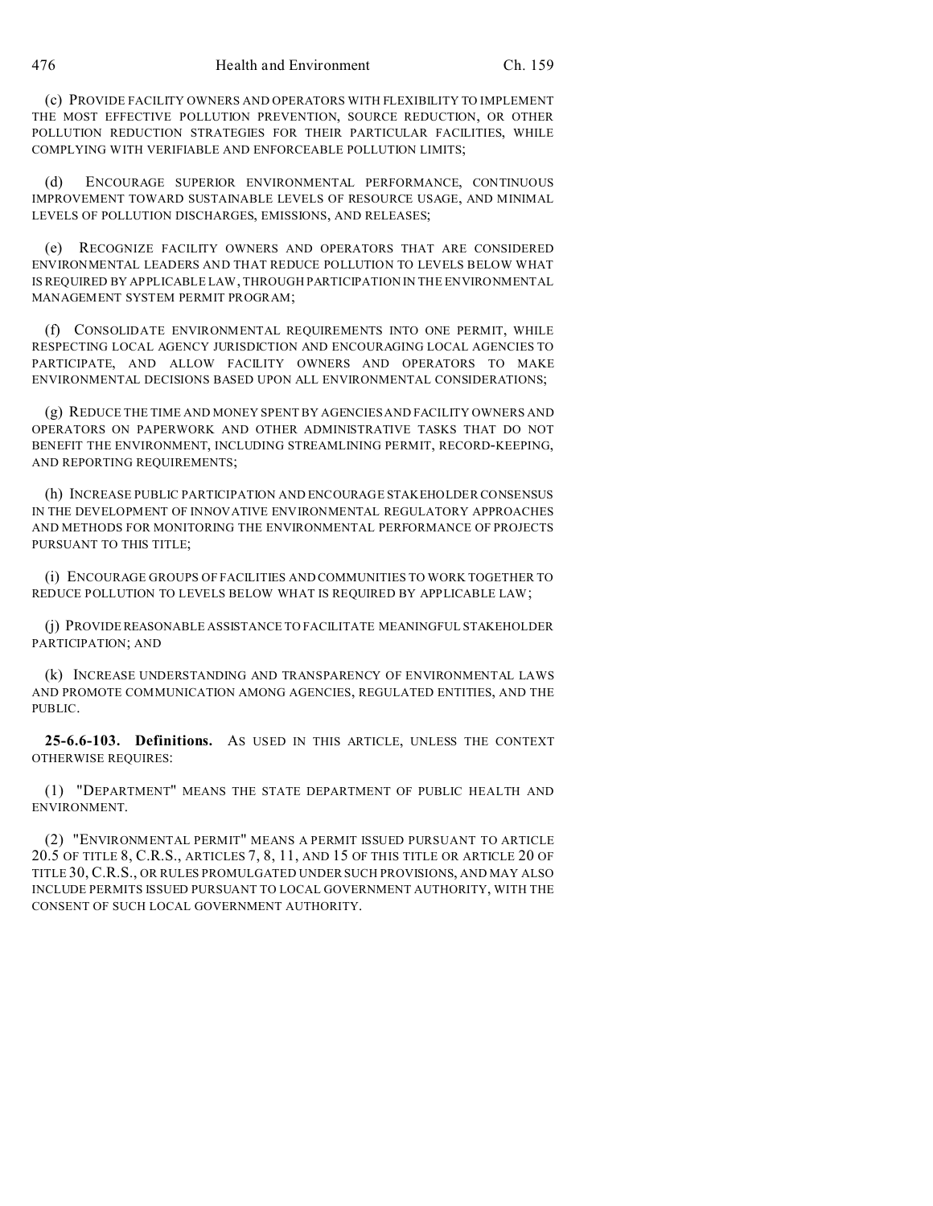(c) PROVIDE FACILITY OWNERS AND OPERATORS WITH FLEXIBILITY TO IMPLEMENT THE MOST EFFECTIVE POLLUTION PREVENTION, SOURCE REDUCTION, OR OTHER POLLUTION REDUCTION STRATEGIES FOR THEIR PARTICULAR FACILITIES, WHILE COMPLYING WITH VERIFIABLE AND ENFORCEABLE POLLUTION LIMITS;

(d) ENCOURAGE SUPERIOR ENVIRONMENTAL PERFORMANCE, CONTINUOUS IMPROVEMENT TOWARD SUSTAINABLE LEVELS OF RESOURCE USAGE, AND MINIMAL LEVELS OF POLLUTION DISCHARGES, EMISSIONS, AND RELEASES;

(e) RECOGNIZE FACILITY OWNERS AND OPERATORS THAT ARE CONSIDERED ENVIRONMENTAL LEADERS AND THAT REDUCE POLLUTION TO LEVELS BELOW WHAT IS REQUIRED BY APPLICABLE LAW, THROUGH PARTICIPATION IN THE ENVIRONMENTAL MANAGEMENT SYSTEM PERMIT PROGRAM;

(f) CONSOLIDATE ENVIRONMENTAL REQUIREMENTS INTO ONE PERMIT, WHILE RESPECTING LOCAL AGENCY JURISDICTION AND ENCOURAGING LOCAL AGENCIES TO PARTICIPATE, AND ALLOW FACILITY OWNERS AND OPERATORS TO MAKE ENVIRONMENTAL DECISIONS BASED UPON ALL ENVIRONMENTAL CONSIDERATIONS;

(g) REDUCE THE TIME AND MONEY SPENT BY AGENCIES AND FACILITY OWNERS AND OPERATORS ON PAPERWORK AND OTHER ADMINISTRATIVE TASKS THAT DO NOT BENEFIT THE ENVIRONMENT, INCLUDING STREAMLINING PERMIT, RECORD-KEEPING, AND REPORTING REQUIREMENTS;

(h) INCREASE PUBLIC PARTICIPATION AND ENCOURAGE STAKEHOLDER CONSENSUS IN THE DEVELOPMENT OF INNOVATIVE ENVIRONMENTAL REGULATORY APPROACHES AND METHODS FOR MONITORING THE ENVIRONMENTAL PERFORMANCE OF PROJECTS PURSUANT TO THIS TITLE;

(i) ENCOURAGE GROUPS OF FACILITIES AND COMMUNITIES TO WORK TOGETHER TO REDUCE POLLUTION TO LEVELS BELOW WHAT IS REQUIRED BY APPLICABLE LAW;

(j) PROVIDE REASONABLE ASSISTANCE TO FACILITATE MEANINGFUL STAKEHOLDER PARTICIPATION; AND

(k) INCREASE UNDERSTANDING AND TRANSPARENCY OF ENVIRONMENTAL LAWS AND PROMOTE COMMUNICATION AMONG AGENCIES, REGULATED ENTITIES, AND THE PUBLIC.

**25-6.6-103. Definitions.** AS USED IN THIS ARTICLE, UNLESS THE CONTEXT OTHERWISE REQUIRES:

(1) "DEPARTMENT" MEANS THE STATE DEPARTMENT OF PUBLIC HEALTH AND ENVIRONMENT.

(2) "ENVIRONMENTAL PERMIT" MEANS A PERMIT ISSUED PURSUANT TO ARTICLE 20.5 OF TITLE 8, C.R.S., ARTICLES 7, 8, 11, AND 15 OF THIS TITLE OR ARTICLE 20 OF TITLE 30, C.R.S., OR RULES PROMULGATED UNDER SUCH PROVISIONS, AND MAY ALSO INCLUDE PERMITS ISSUED PURSUANT TO LOCAL GOVERNMENT AUTHORITY, WITH THE CONSENT OF SUCH LOCAL GOVERNMENT AUTHORITY.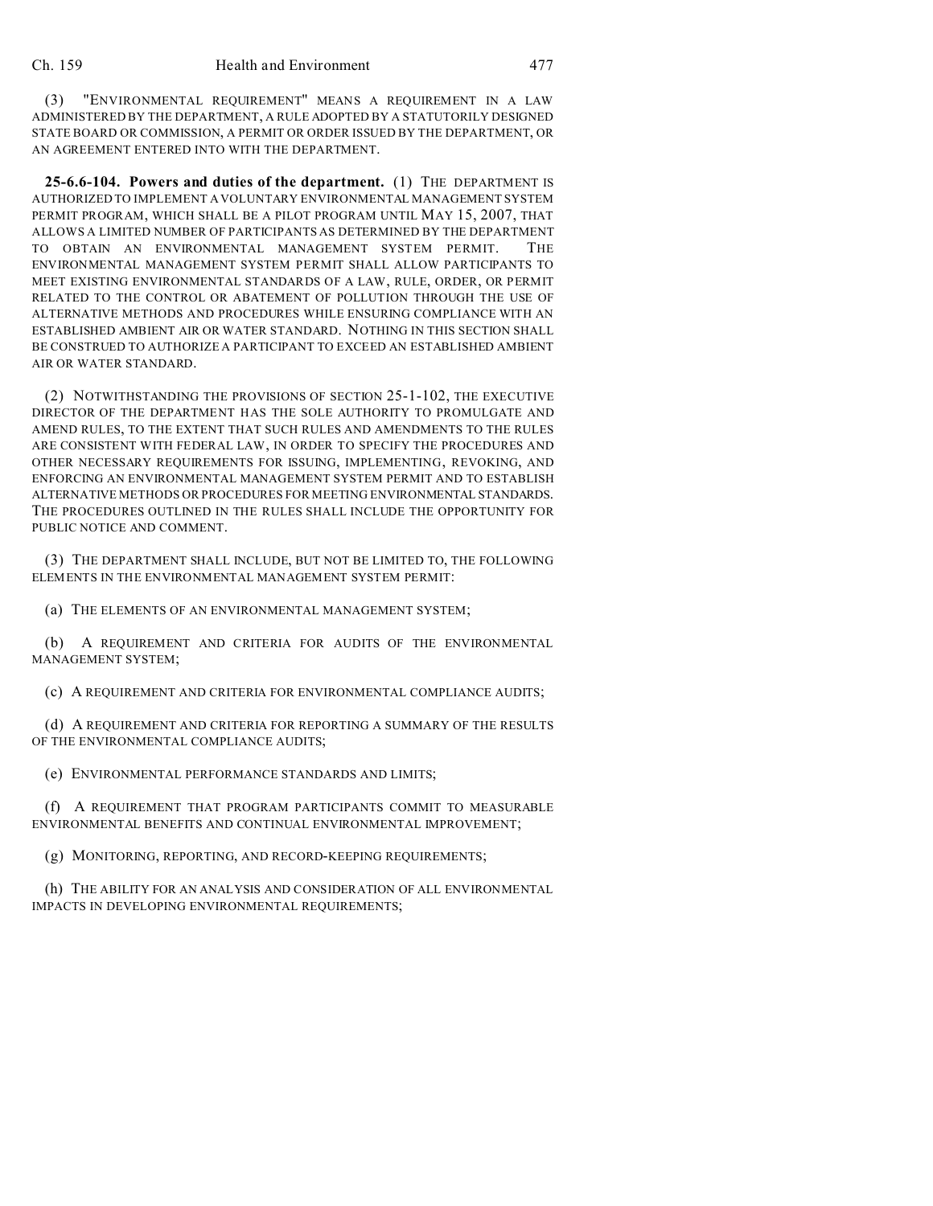(3) "ENVIRONMENTAL REQUIREMENT" MEANS A REQUIREMENT IN A LAW ADMINISTERED BY THE DEPARTMENT, A RULE ADOPTED BY A STATUTORILY DESIGNED STATE BOARD OR COMMISSION, A PERMIT OR ORDER ISSUED BY THE DEPARTMENT, OR AN AGREEMENT ENTERED INTO WITH THE DEPARTMENT.

**25-6.6-104. Powers and duties of the department.** (1) THE DEPARTMENT IS AUTHORIZED TO IMPLEMENT A VOLUNTARY ENVIRONMENTAL MANAGEMENT SYSTEM PERMIT PROGRAM, WHICH SHALL BE A PILOT PROGRAM UNTIL MAY 15, 2007, THAT ALLOWS A LIMITED NUMBER OF PARTICIPANTS AS DETERMINED BY THE DEPARTMENT TO OBTAIN AN ENVIRONMENTAL MANAGEMENT SYSTEM PERMIT. THE ENVIRONMENTAL MANAGEMENT SYSTEM PERMIT SHALL ALLOW PARTICIPANTS TO MEET EXISTING ENVIRONMENTAL STANDARDS OF A LAW, RULE, ORDER, OR PERMIT RELATED TO THE CONTROL OR ABATEMENT OF POLLUTION THROUGH THE USE OF ALTERNATIVE METHODS AND PROCEDURES WHILE ENSURING COMPLIANCE WITH AN ESTABLISHED AMBIENT AIR OR WATER STANDARD. NOTHING IN THIS SECTION SHALL BE CONSTRUED TO AUTHORIZE A PARTICIPANT TO EXCEED AN ESTABLISHED AMBIENT AIR OR WATER STANDARD.

(2) NOTWITHSTANDING THE PROVISIONS OF SECTION 25-1-102, THE EXECUTIVE DIRECTOR OF THE DEPARTMENT HAS THE SOLE AUTHORITY TO PROMULGATE AND AMEND RULES, TO THE EXTENT THAT SUCH RULES AND AMENDMENTS TO THE RULES ARE CONSISTENT WITH FEDERAL LAW, IN ORDER TO SPECIFY THE PROCEDURES AND OTHER NECESSARY REQUIREMENTS FOR ISSUING, IMPLEMENTING, REVOKING, AND ENFORCING AN ENVIRONMENTAL MANAGEMENT SYSTEM PERMIT AND TO ESTABLISH ALTERNATIVE METHODS OR PROCEDURES FOR MEETING ENVIRONMENTAL STANDARDS. THE PROCEDURES OUTLINED IN THE RULES SHALL INCLUDE THE OPPORTUNITY FOR PUBLIC NOTICE AND COMMENT.

(3) THE DEPARTMENT SHALL INCLUDE, BUT NOT BE LIMITED TO, THE FOLLOWING ELEMENTS IN THE ENVIRONMENTAL MANAGEMENT SYSTEM PERMIT:

(a) THE ELEMENTS OF AN ENVIRONMENTAL MANAGEMENT SYSTEM;

(b) A REQUIREMENT AND CRITERIA FOR AUDITS OF THE ENVIRONMENTAL MANAGEMENT SYSTEM;

(c) A REQUIREMENT AND CRITERIA FOR ENVIRONMENTAL COMPLIANCE AUDITS;

(d) A REQUIREMENT AND CRITERIA FOR REPORTING A SUMMARY OF THE RESULTS OF THE ENVIRONMENTAL COMPLIANCE AUDITS;

(e) ENVIRONMENTAL PERFORMANCE STANDARDS AND LIMITS;

(f) A REQUIREMENT THAT PROGRAM PARTICIPANTS COMMIT TO MEASURABLE ENVIRONMENTAL BENEFITS AND CONTINUAL ENVIRONMENTAL IMPROVEMENT;

(g) MONITORING, REPORTING, AND RECORD-KEEPING REQUIREMENTS;

(h) THE ABILITY FOR AN ANALYSIS AND CONSIDERATION OF ALL ENVIRONMENTAL IMPACTS IN DEVELOPING ENVIRONMENTAL REQUIREMENTS;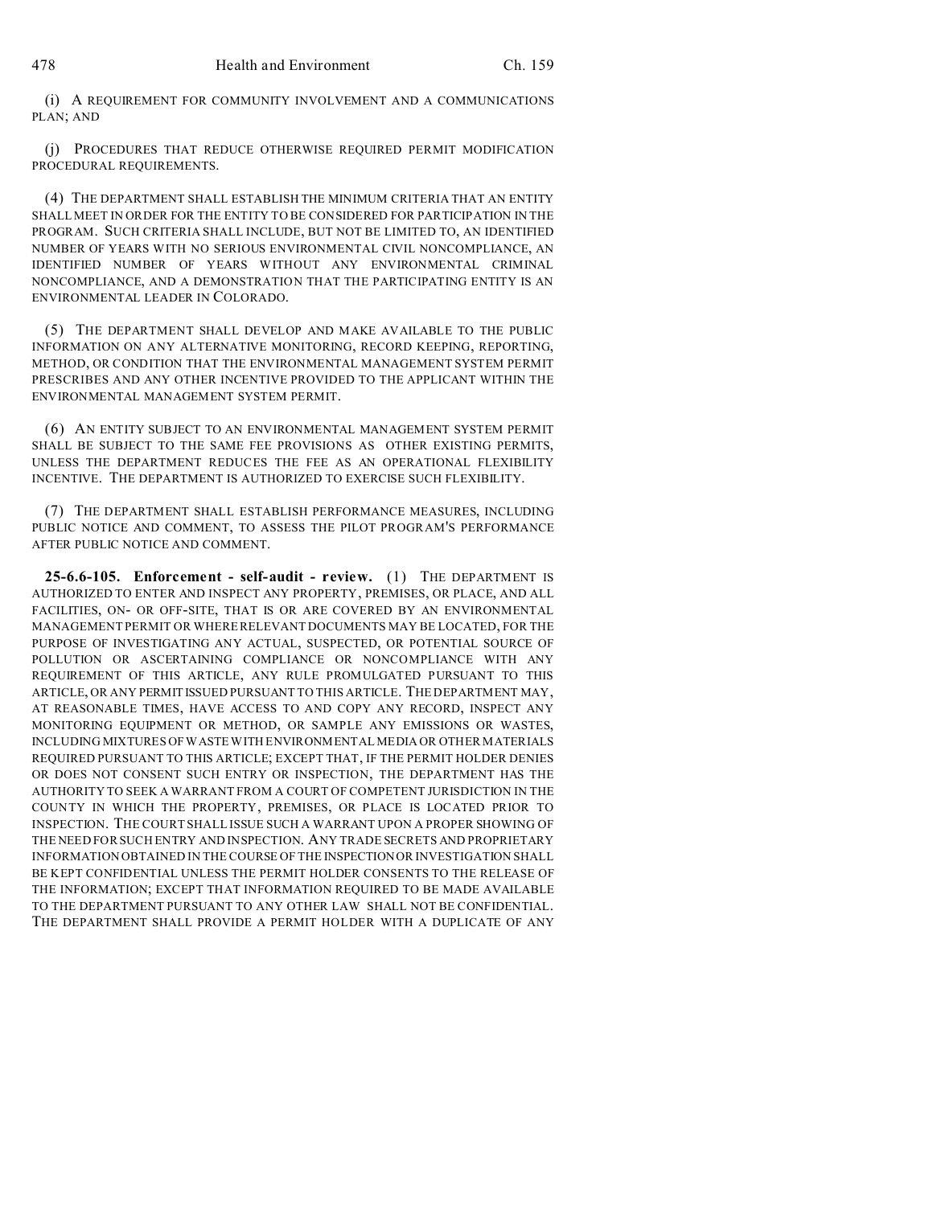(i) A REQUIREMENT FOR COMMUNITY INVOLVEMENT AND A COMMUNICATIONS PLAN; AND

(j) PROCEDURES THAT REDUCE OTHERWISE REQUIRED PERMIT MODIFICATION PROCEDURAL REQUIREMENTS.

(4) THE DEPARTMENT SHALL ESTABLISH THE MINIMUM CRITERIA THAT AN ENTITY SHALL MEET IN ORDER FOR THE ENTITY TO BE CONSIDERED FOR PARTICIPATION IN THE PROGRAM. SUCH CRITERIA SHALL INCLUDE, BUT NOT BE LIMITED TO, AN IDENTIFIED NUMBER OF YEARS WITH NO SERIOUS ENVIRONMENTAL CIVIL NONCOMPLIANCE, AN IDENTIFIED NUMBER OF YEARS WITHOUT ANY ENVIRONMENTAL CRIMINAL NONCOMPLIANCE, AND A DEMONSTRATION THAT THE PARTICIPATING ENTITY IS AN ENVIRONMENTAL LEADER IN COLORADO.

(5) THE DEPARTMENT SHALL DEVELOP AND MAKE AVAILABLE TO THE PUBLIC INFORMATION ON ANY ALTERNATIVE MONITORING, RECORD KEEPING, REPORTING, METHOD, OR CONDITION THAT THE ENVIRONMENTAL MANAGEMENT SYSTEM PERMIT PRESCRIBES AND ANY OTHER INCENTIVE PROVIDED TO THE APPLICANT WITHIN THE ENVIRONMENTAL MANAGEMENT SYSTEM PERMIT.

(6) AN ENTITY SUBJECT TO AN ENVIRONMENTAL MANAGEMENT SYSTEM PERMIT SHALL BE SUBJECT TO THE SAME FEE PROVISIONS AS OTHER EXISTING PERMITS, UNLESS THE DEPARTMENT REDUCES THE FEE AS AN OPERATIONAL FLEXIBILITY INCENTIVE. THE DEPARTMENT IS AUTHORIZED TO EXERCISE SUCH FLEXIBILITY.

(7) THE DEPARTMENT SHALL ESTABLISH PERFORMANCE MEASURES, INCLUDING PUBLIC NOTICE AND COMMENT, TO ASSESS THE PILOT PROGRAM'S PERFORMANCE AFTER PUBLIC NOTICE AND COMMENT.

**25-6.6-105. Enforcement - self-audit - review.** (1) THE DEPARTMENT IS AUTHORIZED TO ENTER AND INSPECT ANY PROPERTY, PREMISES, OR PLACE, AND ALL FACILITIES, ON- OR OFF-SITE, THAT IS OR ARE COVERED BY AN ENVIRONMENTAL MANAGEMENT PERMIT OR WHERE RELEVANT DOCUMENTS MAY BE LOCATED, FOR THE PURPOSE OF INVESTIGATING ANY ACTUAL, SUSPECTED, OR POTENTIAL SOURCE OF POLLUTION OR ASCERTAINING COMPLIANCE OR NONCOMPLIANCE WITH ANY REQUIREMENT OF THIS ARTICLE, ANY RULE PROMULGATED PURSUANT TO THIS ARTICLE, OR ANY PERMITISSUED PURSUANT TO THIS ARTICLE. THE DEPARTMENT MAY, AT REASONABLE TIMES, HAVE ACCESS TO AND COPY ANY RECORD, INSPECT ANY MONITORING EQUIPMENT OR METHOD, OR SAMPLE ANY EMISSIONS OR WASTES, INCLUDING MIXTURES OF WASTE WITH ENVIRONMENTAL MEDIA OR OTHER MATERIALS REQUIRED PURSUANT TO THIS ARTICLE; EXCEPT THAT, IF THE PERMIT HOLDER DENIES OR DOES NOT CONSENT SUCH ENTRY OR INSPECTION, THE DEPARTMENT HAS THE AUTHORITY TO SEEK A WARRANT FROM A COURT OF COMPETENT JURISDICTION IN THE COUNTY IN WHICH THE PROPERTY, PREMISES, OR PLACE IS LOCATED PRIOR TO INSPECTION. THE COURT SHALL ISSUE SUCH A WARRANT UPON A PROPER SHOWING OF THE NEED FOR SUCH ENTRY AND INSPECTION. ANY TRADE SECRETS AND PROPRIETARY INFORMATION OBTAINED IN THE COURSE OF THE INSPECTION OR INVESTIGATION SHALL BE KEPT CONFIDENTIAL UNLESS THE PERMIT HOLDER CONSENTS TO THE RELEASE OF THE INFORMATION; EXCEPT THAT INFORMATION REQUIRED TO BE MADE AVAILABLE TO THE DEPARTMENT PURSUANT TO ANY OTHER LAW SHALL NOT BE CONFIDENTIAL. THE DEPARTMENT SHALL PROVIDE A PERMIT HOLDER WITH A DUPLICATE OF ANY